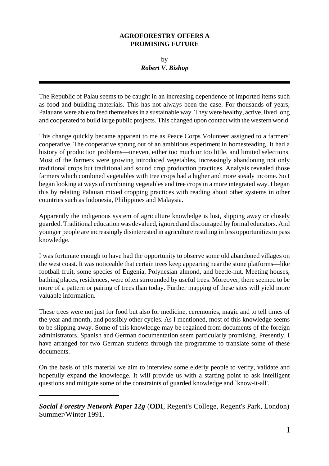## **AGROFORESTRY OFFERS A PROMISING FUTURE**

by *Robert V. Bishop*

The Republic of Palau seems to be caught in an increasing dependence of imported items such as food and building materials. This has not always been the case. For thousands of years, Palauans were able to feed themselves in a sustainable way. They were healthy, active, lived long and cooperated to build large public projects. This changed upon contact with the western world.

This change quickly became apparent to me as Peace Corps Volunteer assigned to a farmers' cooperative. The cooperative sprung out of an ambitious experiment in homesteading. It had a history of production problems—uneven, either too much or too little, and limited selections. Most of the farmers were growing introduced vegetables, increasingly abandoning not only traditional crops but traditional and sound crop production practices. Analysis revealed those farmers which combined vegetables with tree crops had a higher and more steady income. So I began looking at ways of combining vegetables and tree crops in a more integrated way. I began this by relating Palauan mixed cropping practices with reading about other systems in other countries such as Indonesia, Philippines and Malaysia.

Apparently the indigenous system of agriculture knowledge is lost, slipping away or closely guarded. Traditional education was devalued, ignored and discouraged by formal educators. And younger people are increasingly disinterested in agriculture resulting in less opportunities to pass knowledge.

I was fortunate enough to have had the opportunity to observe some old abandoned villages on the west coast. It was noticeable that certain trees keep appearing near the stone platforms—like football fruit, some species of Eugenia, Polynesian almond, and beetle-nut. Meeting houses, bathing places, residences, were often surrounded by useful trees. Moreover, there seemed to be more of a pattern or pairing of trees than today. Further mapping of these sites will yield more valuable information.

These trees were not just for food but also for medicine, ceremonies, magic and to tell times of the year and month, and possibly other cycles. As I mentioned, most of this knowledge seems to be slipping away. Some of this knowledge may be regained from documents of the foreign administrators. Spanish and German documentation seem particularly promising. Presently, I have arranged for two German students through the programme to translate some of these documents.

On the basis of this material we aim to interview some elderly people to verify, validate and hopefully expand the knowledge. It will provide us with a starting point to ask intelligent questions and mitigate some of the constraints of guarded knowledge and `know-it-all'.

*Social Forestry Network Paper 12g* (**ODI**, Regent's College, Regent's Park, London) Summer/Winter 1991.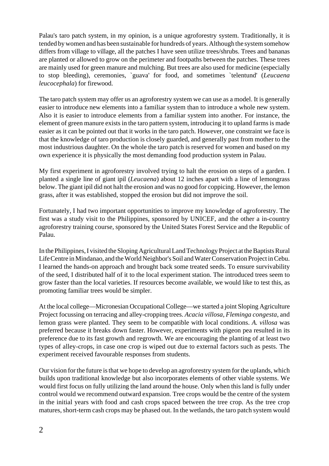Palau's taro patch system, in my opinion, is a unique agroforestry system. Traditionally, it is tended by women and has been sustainable for hundreds of years. Although the system somehow differs from village to village, all the patches I have seen utilize trees/shrubs. Trees and bananas are planted or allowed to grow on the perimeter and footpaths between the patches. These trees are mainly used for green manure and mulching. But trees are also used for medicine (especially to stop bleeding), ceremonies, `guava' for food, and sometimes `telentund' (*Leucaena leucocephala*) for firewood.

The taro patch system may offer us an agroforestry system we can use as a model. It is generally easier to introduce new elements into a familiar system than to introduce a whole new system. Also it is easier to introduce elements from a familiar system into another. For instance, the element of green manure exists in the taro pattern system, introducing it to upland farms is made easier as it can be pointed out that it works in the taro patch. However, one constraint we face is that the knowledge of taro production is closely guarded, and generally past from mother to the most industrious daughter. On the whole the taro patch is reserved for women and based on my own experience it is physically the most demanding food production system in Palau.

My first experiment in agroforestry involved trying to halt the erosion on steps of a garden. I planted a single line of giant ipil (*Leucaena*) about 12 inches apart with a line of lemongrass below. The giant ipil did not halt the erosion and was no good for coppicing. However, the lemon grass, after it was established, stopped the erosion but did not improve the soil.

Fortunately, I had two important opportunities to improve my knowledge of agroforestry. The first was a study visit to the Philippines, sponsored by UNICEF, and the other a in-country agroforestry training course, sponsored by the United States Forest Service and the Republic of Palau.

In the Philippines, I visited the Sloping Agricultural Land Technology Project at the Baptists Rural Life Centre in Mindanao, and the World Neighbor's Soil and Water Conservation Project in Cebu. I learned the hands-on approach and brought back some treated seeds. To ensure survivability of the seed, I distributed half of it to the local experiment station. The introduced trees seem to grow faster than the local varieties. If resources become available, we would like to test this, as promoting familiar trees would be simpler.

At the local college—Micronesian Occupational College—we started a joint Sloping Agriculture Project focussing on terracing and alley-cropping trees. *Acacia villosa*, *Fleminga congesta*, and lemon grass were planted. They seem to be compatible with local conditions. *A. villosa* was preferred because it breaks down faster. However, experiments with pigeon pea resulted in its preference due to its fast growth and regrowth. We are encouraging the planting of at least two types of alley-crops, in case one crop is wiped out due to external factors such as pests. The experiment received favourable responses from students.

Our vision for the future is that we hope to develop an agroforestry system for the uplands, which builds upon traditional knowledge but also incorporates elements of other viable systems. We would first focus on fully utilizing the land around the house. Only when this land is fully under control would we recommend outward expansion. Tree crops would be the centre of the system in the initial years with food and cash crops spaced between the tree crop. As the tree crop matures, short-term cash crops may be phased out. In the wetlands, the taro patch system would